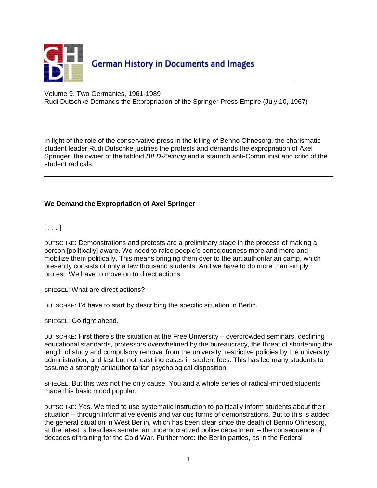

Volume 9. Two Germanies, 1961-1989 Rudi Dutschke Demands the Expropriation of the Springer Press Empire (July 10, 1967)

In light of the role of the conservative press in the killing of Benno Ohnesorg, the charismatic student leader [Rudi Dutschke](javascript:bioinfo(22)) justifies the protests and demands the expropriation of [Axel](javascript:bioinfo(74))  [Springer,](javascript:bioinfo(74)) the owner of the tabloid *BILD-Zeitung* and a staunch anti-Communist and critic of the student radicals.

## **We Demand the Expropriation of Axel Springer**

 $[ \ldots ]$ 

DUTSCHKE: Demonstrations and protests are a preliminary stage in the process of making a person [politically] aware. We need to raise people's consciousness more and more and mobilize them politically. This means bringing them over to the antiauthoritarian camp, which presently consists of only a few thousand students. And we have to do more than simply protest. We have to move on to direct actions.

SPIEGEL: What are direct actions?

DUTSCHKE: I'd have to start by describing the specific situation in Berlin.

SPIEGEL: Go right ahead.

DUTSCHKE: First there's the situation at the Free University – overcrowded seminars, declining educational standards, professors overwhelmed by the bureaucracy, the threat of shortening the length of study and compulsory removal from the university, restrictive policies by the university administration, and last but not least increases in student fees. This has led many students to assume a strongly antiauthoritarian psychological disposition.

SPIEGEL: But this was not the only cause. You and a whole series of radical-minded students made this basic mood popular.

DUTSCHKE: Yes. We tried to use systematic instruction to politically inform students about their situation – through informative events and various forms of demonstrations. But to this is added the general situation in West Berlin, which has been clear since the death of Benno Ohnesorg, at the latest: a headless senate, an undemocratized police department – the consequence of decades of training for the Cold War. Furthermore: the Berlin parties, as in the Federal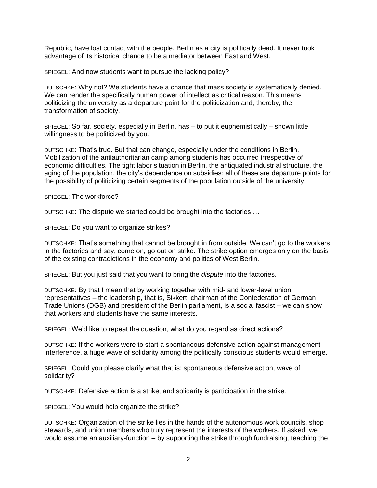Republic, have lost contact with the people. Berlin as a city is politically dead. It never took advantage of its historical chance to be a mediator between East and West.

SPIEGEL: And now students want to pursue the lacking policy?

DUTSCHKE: Why not? We students have a chance that mass society is systematically denied. We can render the specifically human power of intellect as critical reason. This means politicizing the university as a departure point for the politicization and, thereby, the transformation of society.

SPIEGEL: So far, society, especially in Berlin, has – to put it euphemistically – shown little willingness to be politicized by you.

DUTSCHKE: That's true. But that can change, especially under the conditions in Berlin. Mobilization of the antiauthoritarian camp among students has occurred irrespective of economic difficulties. The tight labor situation in Berlin, the antiquated industrial structure, the aging of the population, the city's dependence on subsidies: all of these are departure points for the possibility of politicizing certain segments of the population outside of the university.

SPIEGEL: The workforce?

DUTSCHKE: The dispute we started could be brought into the factories …

SPIEGEL: Do you want to organize strikes?

DUTSCHKE: That's something that cannot be brought in from outside. We can't go to the workers in the factories and say, come on, go out on strike. The strike option emerges only on the basis of the existing contradictions in the economy and politics of West Berlin.

SPIEGEL: But you just said that you want to bring the *dispute* into the factories.

DUTSCHKE: By that I mean that by working together with mid- and lower-level union representatives – the leadership, that is, Sikkert, chairman of the Confederation of German Trade Unions (DGB) and president of the Berlin parliament, is a social fascist – we can show that workers and students have the same interests.

SPIEGEL: We'd like to repeat the question, what do you regard as direct actions?

DUTSCHKE: If the workers were to start a spontaneous defensive action against management interference, a huge wave of solidarity among the politically conscious students would emerge.

SPIEGEL: Could you please clarify what that is: spontaneous defensive action, wave of solidarity?

DUTSCHKE: Defensive action is a strike, and solidarity is participation in the strike.

SPIEGEL: You would help organize the strike?

DUTSCHKE: Organization of the strike lies in the hands of the autonomous work councils, shop stewards, and union members who truly represent the interests of the workers. If asked, we would assume an auxiliary-function – by supporting the strike through fundraising, teaching the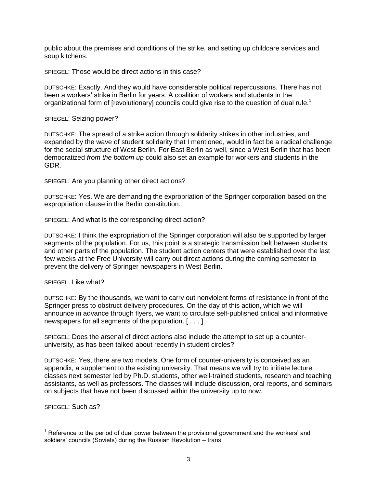public about the premises and conditions of the strike, and setting up childcare services and soup kitchens.

SPIEGEL: Those would be direct actions in this case?

DUTSCHKE: Exactly. And they would have considerable political repercussions. There has not been a workers' strike in Berlin for years. A coalition of workers and students in the organizational form of [revolutionary] councils could give rise to the question of dual rule.<sup>1</sup>

SPIEGEL: Seizing power?

DUTSCHKE: The spread of a strike action through solidarity strikes in other industries, and expanded by the wave of student solidarity that I mentioned, would in fact be a radical challenge for the social structure of West Berlin. For East Berlin as well, since a West Berlin that has been democratized *from the bottom up* could also set an example for workers and students in the GDR.

SPIEGEL: Are you planning other direct actions?

DUTSCHKE: Yes. We are demanding the expropriation of the Springer corporation based on the expropriation clause in the Berlin constitution.

SPIEGEL: And what is the corresponding direct action?

DUTSCHKE: I think the expropriation of the Springer corporation will also be supported by larger segments of the population. For us, this point is a strategic transmission belt between students and other parts of the population. The student action centers that were established over the last few weeks at the Free University will carry out direct actions during the coming semester to prevent the delivery of Springer newspapers in West Berlin.

SPIEGEL: Like what?

DUTSCHKE: By the thousands, we want to carry out nonviolent forms of resistance in front of the Springer press to obstruct delivery procedures. On the day of this action, which we will announce in advance through flyers, we want to circulate self-published critical and informative newspapers for all segments of the population. [ . . . ]

SPIEGEL: Does the arsenal of direct actions also include the attempt to set up a counteruniversity, as has been talked about recently in student circles?

DUTSCHKE: Yes, there are two models. One form of counter-university is conceived as an appendix, a supplement to the existing university. That means we will try to initiate lecture classes next semester led by Ph.D. students, other well-trained students, research and teaching assistants, as well as professors. The classes will include discussion, oral reports, and seminars on subjects that have not been discussed within the university up to now.

SPIEGEL: Such as?

 $\overline{a}$ 

 $<sup>1</sup>$  Reference to the period of dual power between the provisional government and the workers' and</sup> soldiers' councils (Soviets) during the Russian Revolution – trans.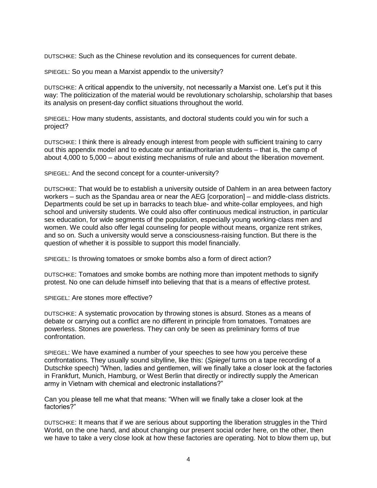DUTSCHKE: Such as the Chinese revolution and its consequences for current debate.

SPIEGEL: So you mean a Marxist appendix to the university?

DUTSCHKE: A critical appendix to the university, not necessarily a Marxist one. Let's put it this way: The politicization of the material would be revolutionary scholarship, scholarship that bases its analysis on present-day conflict situations throughout the world.

SPIEGEL: How many students, assistants, and doctoral students could you win for such a project?

DUTSCHKE: I think there is already enough interest from people with sufficient training to carry out this appendix model and to educate our antiauthoritarian students – that is, the camp of about 4,000 to 5,000 – about existing mechanisms of rule and about the liberation movement.

SPIEGEL: And the second concept for a counter-university?

DUTSCHKE: That would be to establish a university outside of Dahlem in an area between factory workers – such as the Spandau area or near the AEG [corporation] – and middle-class districts. Departments could be set up in barracks to teach blue- and white-collar employees, and high school and university students. We could also offer continuous medical instruction, in particular sex education, for wide segments of the population, especially young working-class men and women. We could also offer legal counseling for people without means, organize rent strikes, and so on. Such a university would serve a consciousness-raising function. But there is the question of whether it is possible to support this model financially.

SPIEGEL: Is throwing tomatoes or smoke bombs also a form of direct action?

DUTSCHKE: Tomatoes and smoke bombs are nothing more than impotent methods to signify protest. No one can delude himself into believing that that is a means of effective protest.

SPIEGEL: Are stones more effective?

DUTSCHKE: A systematic provocation by throwing stones is absurd. Stones as a means of debate or carrying out a conflict are no different in principle from tomatoes. Tomatoes are powerless. Stones are powerless. They can only be seen as preliminary forms of true confrontation.

SPIEGEL: We have examined a number of your speeches to see how you perceive these confrontations. They usually sound sibylline, like this: (*Spiegel* turns on a tape recording of a Dutschke speech) "When, ladies and gentlemen, will we finally take a closer look at the factories in Frankfurt, Munich, Hamburg, or West Berlin that directly or indirectly supply the American army in Vietnam with chemical and electronic installations?"

Can you please tell me what that means: "When will we finally take a closer look at the factories?"

DUTSCHKE: It means that if we are serious about supporting the liberation struggles in the Third World, on the one hand, and about changing our present social order here, on the other, then we have to take a very close look at how these factories are operating. Not to blow them up, but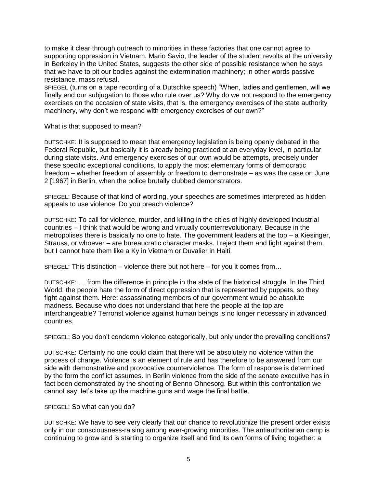to make it clear through outreach to minorities in these factories that one cannot agree to supporting oppression in Vietnam. Mario Savio, the leader of the student revolts at the university in Berkeley in the United States, suggests the other side of possible resistance when he says that we have to pit our bodies against the extermination machinery; in other words passive resistance, mass refusal.

SPIEGEL (turns on a tape recording of a Dutschke speech) "When, ladies and gentlemen, will we finally end our subjugation to those who rule over us? Why do we not respond to the emergency exercises on the occasion of state visits, that is, the emergency exercises of the state authority machinery, why don't we respond with emergency exercises of our own?"

What is that supposed to mean?

DUTSCHKE: It is supposed to mean that emergency legislation is being openly debated in the Federal Republic, but basically it is already being practiced at an everyday level, in particular during state visits. And emergency exercises of our own would be attempts, precisely under these specific exceptional conditions, to apply the most elementary forms of democratic freedom – whether freedom of assembly or freedom to demonstrate – as was the case on June 2 [1967] in Berlin, when the police brutally clubbed demonstrators.

SPIEGEL: Because of that kind of wording, your speeches are sometimes interpreted as hidden appeals to use violence. Do you preach violence?

DUTSCHKE: To call for violence, murder, and killing in the cities of highly developed industrial countries – I think that would be wrong and virtually counterrevolutionary. Because in the metropolises there is basically no one to hate. The government leaders at the top – a Kiesinger, Strauss, or whoever – are bureaucratic character masks. I reject them and fight against them, but I cannot hate them like a Ky in Vietnam or Duvalier in Haiti.

SPIEGEL: This distinction – violence there but not here – for you it comes from…

DUTSCHKE: … from the difference in principle in the state of the historical struggle. In the Third World: the people hate the form of direct oppression that is represented by puppets, so they fight against them. Here: assassinating members of our government would be absolute madness. Because who does not understand that here the people at the top are interchangeable? Terrorist violence against human beings is no longer necessary in advanced countries.

SPIEGEL: So you don't condemn violence categorically, but only under the prevailing conditions?

DUTSCHKE: Certainly no one could claim that there will be absolutely no violence within the process of change. Violence is an element of rule and has therefore to be answered from our side with demonstrative and provocative counterviolence. The form of response is determined by the form the conflict assumes. In Berlin violence from the side of the senate executive has in fact been demonstrated by the shooting of Benno Ohnesorg. But within this confrontation we cannot say, let's take up the machine guns and wage the final battle.

SPIEGEL: So what can you do?

DUTSCHKE: We have to see very clearly that our chance to revolutionize the present order exists only in our consciousness-raising among ever-growing minorities. The antiauthoritarian camp is continuing to grow and is starting to organize itself and find its own forms of living together: a